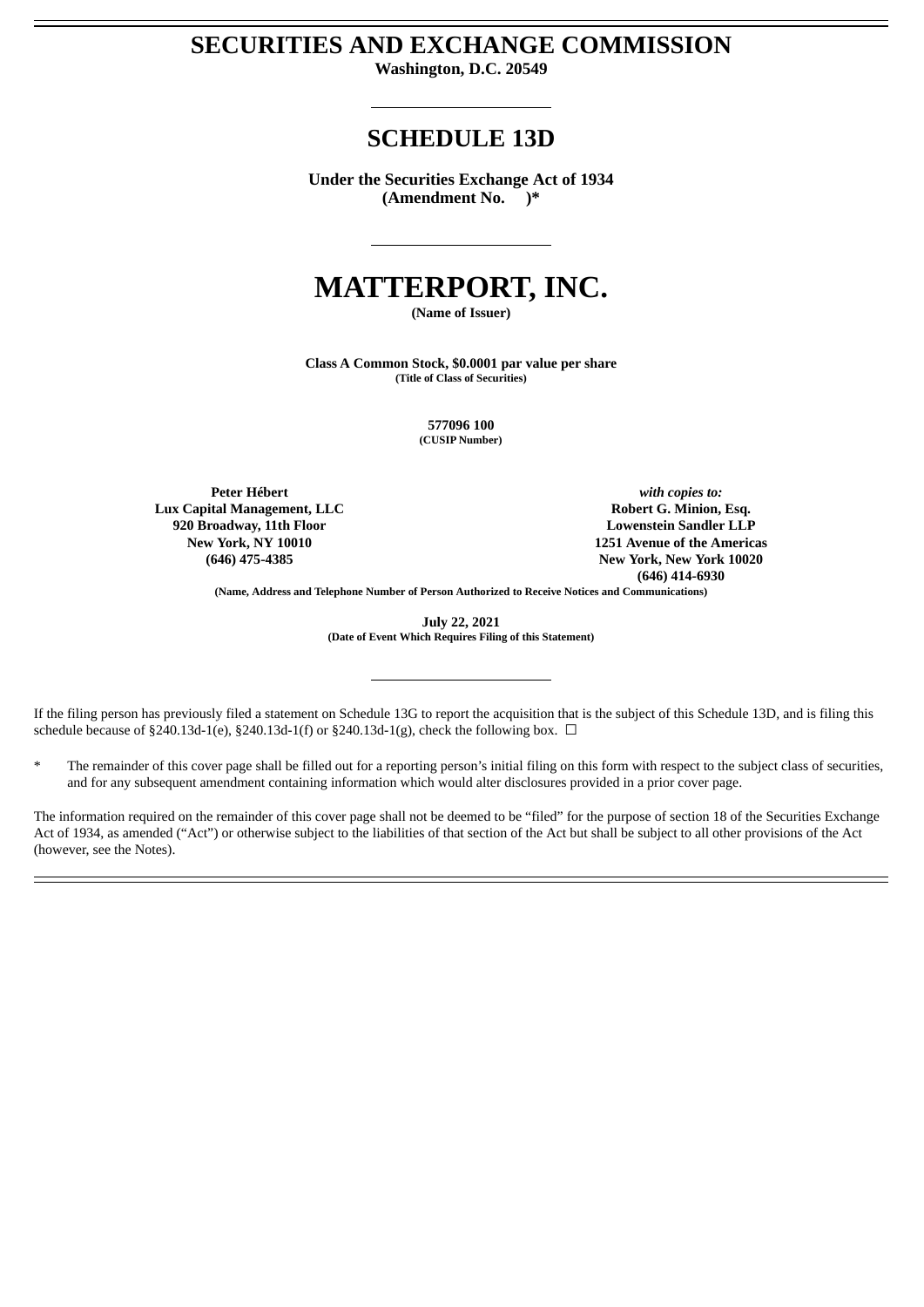# **SECURITIES AND EXCHANGE COMMISSION**

**Washington, D.C. 20549**

# **SCHEDULE 13D**

**Under the Securities Exchange Act of 1934 (Amendment No. )\***

# **MATTERPORT, INC.**

**(Name of Issuer)**

**Class A Common Stock, \$0.0001 par value per share (Title of Class of Securities)**

> **577096 100 (CUSIP Number)**

**Peter Hébert Lux Capital Management, LLC 920 Broadway, 11th Floor New York, NY 10010 (646) 475-4385**

*with copies to:* **Robert G. Minion, Esq. Lowenstein Sandler LLP 1251 Avenue of the Americas New York, New York 10020 (646) 414-6930**

**(Name, Address and Telephone Number of Person Authorized to Receive Notices and Communications)**

**July 22, 2021 (Date of Event Which Requires Filing of this Statement)**

If the filing person has previously filed a statement on Schedule 13G to report the acquisition that is the subject of this Schedule 13D, and is filing this schedule because of §240.13d-1(e), §240.13d-1(f) or §240.13d-1(g), check the following box.  $\Box$ 

The remainder of this cover page shall be filled out for a reporting person's initial filing on this form with respect to the subject class of securities, and for any subsequent amendment containing information which would alter disclosures provided in a prior cover page.

The information required on the remainder of this cover page shall not be deemed to be "filed" for the purpose of section 18 of the Securities Exchange Act of 1934, as amended ("Act") or otherwise subject to the liabilities of that section of the Act but shall be subject to all other provisions of the Act (however, see the Notes).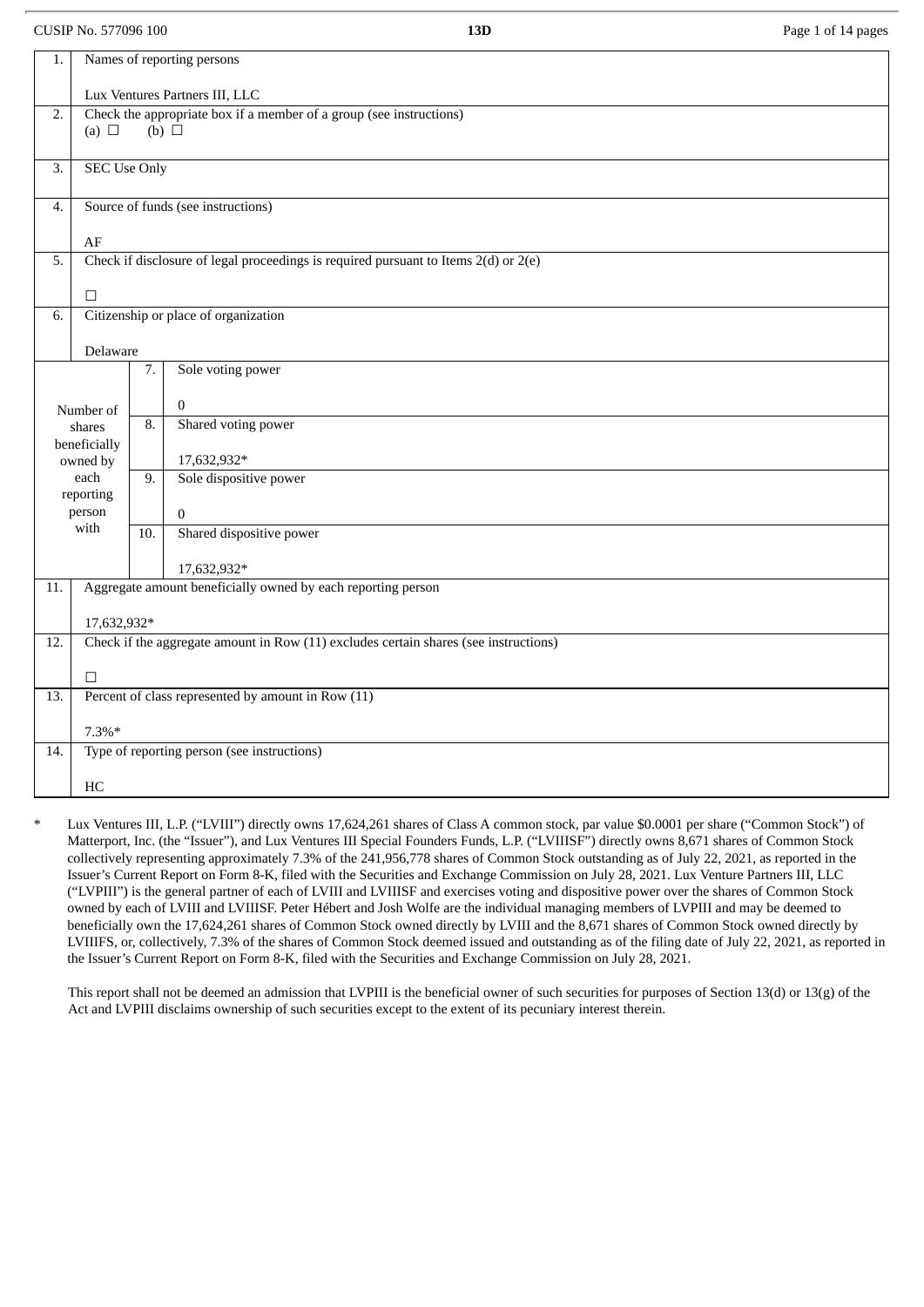CUSIP No. 577096 100 **13D** Page 1 of 14 pages

| 1.                                                                                      |                                             |                     | Names of reporting persons                                                           |  |
|-----------------------------------------------------------------------------------------|---------------------------------------------|---------------------|--------------------------------------------------------------------------------------|--|
|                                                                                         | Lux Ventures Partners III, LLC              |                     |                                                                                      |  |
| Check the appropriate box if a member of a group (see instructions)<br>2.<br>(b) $\Box$ |                                             |                     |                                                                                      |  |
|                                                                                         | (a) $\Box$                                  |                     |                                                                                      |  |
| 3.                                                                                      |                                             | <b>SEC Use Only</b> |                                                                                      |  |
| 4.                                                                                      | Source of funds (see instructions)          |                     |                                                                                      |  |
|                                                                                         | $\rm AF$                                    |                     |                                                                                      |  |
| 5.                                                                                      |                                             |                     | Check if disclosure of legal proceedings is required pursuant to Items 2(d) or 2(e)  |  |
|                                                                                         | $\Box$                                      |                     |                                                                                      |  |
| 6.                                                                                      |                                             |                     | Citizenship or place of organization                                                 |  |
|                                                                                         | Delaware                                    |                     |                                                                                      |  |
|                                                                                         |                                             | 7.                  | Sole voting power                                                                    |  |
|                                                                                         | Number of                                   |                     | $\overline{0}$                                                                       |  |
|                                                                                         | shares                                      |                     | Shared voting power                                                                  |  |
|                                                                                         | beneficially<br>owned by                    |                     | 17,632,932*                                                                          |  |
|                                                                                         | each<br>reporting                           | 9.                  | Sole dispositive power                                                               |  |
|                                                                                         | person                                      |                     | $\overline{0}$                                                                       |  |
|                                                                                         | with                                        | 10.                 | Shared dispositive power                                                             |  |
|                                                                                         |                                             |                     | 17,632,932*                                                                          |  |
| 11.                                                                                     |                                             |                     | Aggregate amount beneficially owned by each reporting person                         |  |
|                                                                                         | 17,632,932*                                 |                     |                                                                                      |  |
| 12.                                                                                     |                                             |                     | Check if the aggregate amount in Row (11) excludes certain shares (see instructions) |  |
|                                                                                         | $\Box$                                      |                     |                                                                                      |  |
| 13.                                                                                     |                                             |                     | Percent of class represented by amount in Row (11)                                   |  |
|                                                                                         | $7.3\%*$                                    |                     |                                                                                      |  |
| 14.                                                                                     | Type of reporting person (see instructions) |                     |                                                                                      |  |
|                                                                                         | HC                                          |                     |                                                                                      |  |

Lux Ventures III, L.P. ("LVIII") directly owns 17,624,261 shares of Class A common stock, par value \$0.0001 per share ("Common Stock") of Matterport, Inc. (the "Issuer"), and Lux Ventures III Special Founders Funds, L.P. ("LVIIISF") directly owns 8,671 shares of Common Stock collectively representing approximately 7.3% of the 241,956,778 shares of Common Stock outstanding as of July 22, 2021, as reported in the Issuer's Current Report on Form 8-K, filed with the Securities and Exchange Commission on July 28, 2021. Lux Venture Partners III, LLC ("LVPIII") is the general partner of each of LVIII and LVIIISF and exercises voting and dispositive power over the shares of Common Stock owned by each of LVIII and LVIIISF. Peter Hébert and Josh Wolfe are the individual managing members of LVPIII and may be deemed to beneficially own the 17,624,261 shares of Common Stock owned directly by LVIII and the 8,671 shares of Common Stock owned directly by LVIIIFS, or, collectively, 7.3% of the shares of Common Stock deemed issued and outstanding as of the filing date of July 22, 2021, as reported in the Issuer's Current Report on Form 8-K, filed with the Securities and Exchange Commission on July 28, 2021.

This report shall not be deemed an admission that LVPIII is the beneficial owner of such securities for purposes of Section 13(d) or 13(g) of the Act and LVPIII disclaims ownership of such securities except to the extent of its pecuniary interest therein.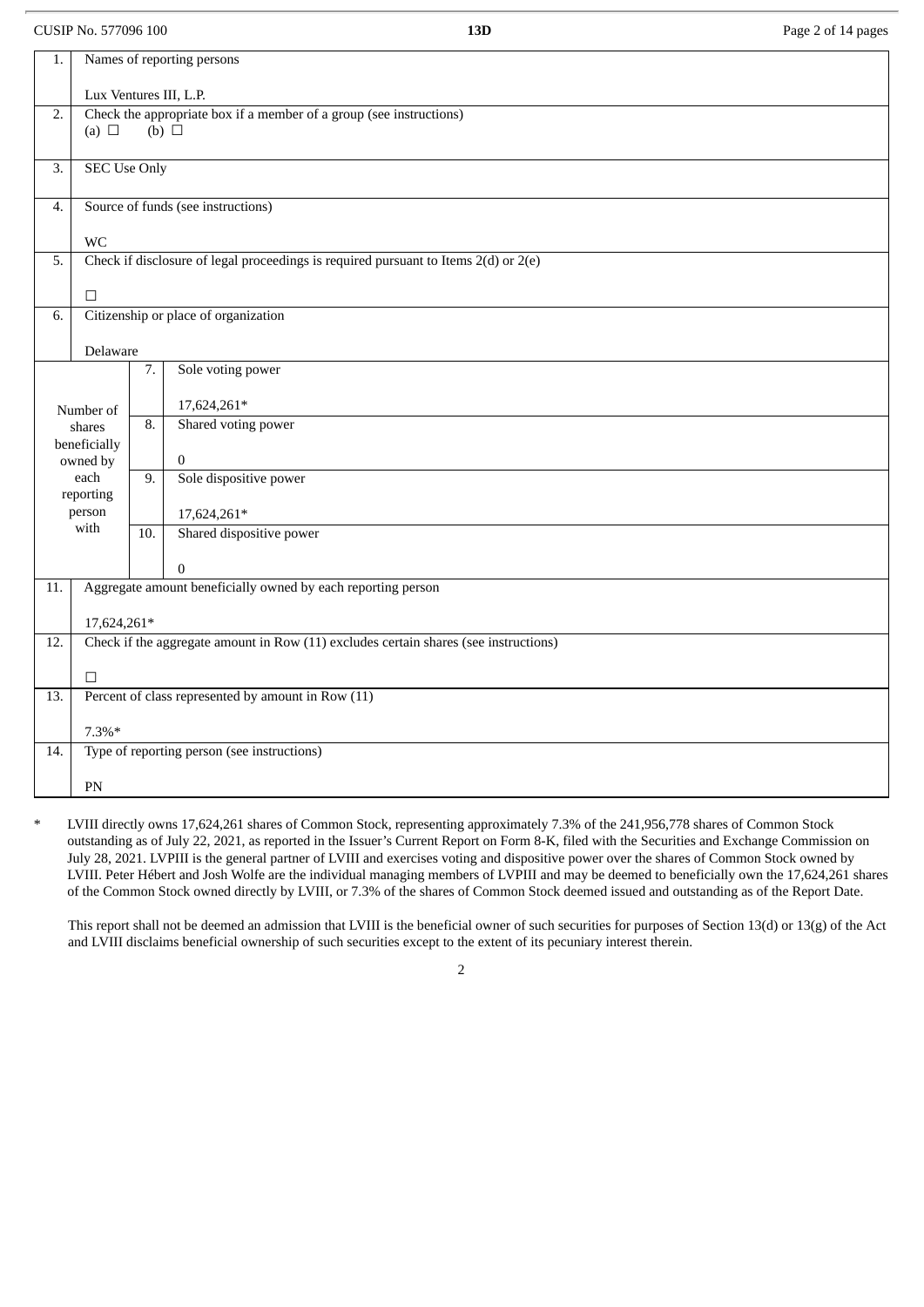CUSIP No. 577096 100 **13D** Page 2 of 14 pages

| 1.                      |                                    |                   | Names of reporting persons                                                           |  |
|-------------------------|------------------------------------|-------------------|--------------------------------------------------------------------------------------|--|
|                         | Lux Ventures III, L.P.             |                   |                                                                                      |  |
| 2.                      | (a) $\Box$                         |                   | Check the appropriate box if a member of a group (see instructions)<br>(b) $\Box$    |  |
|                         |                                    |                   |                                                                                      |  |
| 3.                      | <b>SEC Use Only</b>                |                   |                                                                                      |  |
| 4.                      | Source of funds (see instructions) |                   |                                                                                      |  |
|                         | WC                                 |                   |                                                                                      |  |
| 5.                      |                                    |                   | Check if disclosure of legal proceedings is required pursuant to Items 2(d) or 2(e)  |  |
|                         | $\Box$                             |                   |                                                                                      |  |
| 6.                      |                                    |                   | Citizenship or place of organization                                                 |  |
|                         | Delaware                           |                   |                                                                                      |  |
| Sole voting power<br>7. |                                    |                   |                                                                                      |  |
|                         | Number of                          |                   | 17,624,261*                                                                          |  |
| shares                  |                                    | 8.                | Shared voting power                                                                  |  |
|                         | beneficially<br>owned by           |                   | $\bf{0}$                                                                             |  |
|                         | each                               |                   | Sole dispositive power                                                               |  |
|                         | reporting<br>person                |                   | 17,624,261*                                                                          |  |
|                         | with                               | $\overline{10}$ . | Shared dispositive power                                                             |  |
|                         |                                    |                   | $\mathbf{0}$                                                                         |  |
| 11.                     |                                    |                   | Aggregate amount beneficially owned by each reporting person                         |  |
|                         | 17,624,261*                        |                   |                                                                                      |  |
| 12.                     |                                    |                   | Check if the aggregate amount in Row (11) excludes certain shares (see instructions) |  |
|                         | $\Box$                             |                   |                                                                                      |  |
| 13.                     |                                    |                   | Percent of class represented by amount in Row (11)                                   |  |
|                         | $7.3\%*$                           |                   |                                                                                      |  |
| 14.                     |                                    |                   | Type of reporting person (see instructions)                                          |  |
|                         | PN                                 |                   |                                                                                      |  |

LVIII directly owns 17,624,261 shares of Common Stock, representing approximately 7.3% of the 241,956,778 shares of Common Stock outstanding as of July 22, 2021, as reported in the Issuer's Current Report on Form 8-K, filed with the Securities and Exchange Commission on July 28, 2021. LVPIII is the general partner of LVIII and exercises voting and dispositive power over the shares of Common Stock owned by LVIII. Peter Hébert and Josh Wolfe are the individual managing members of LVPIII and may be deemed to beneficially own the 17,624,261 shares of the Common Stock owned directly by LVIII, or 7.3% of the shares of Common Stock deemed issued and outstanding as of the Report Date.

This report shall not be deemed an admission that LVIII is the beneficial owner of such securities for purposes of Section 13(d) or 13(g) of the Act and LVIII disclaims beneficial ownership of such securities except to the extent of its pecuniary interest therein.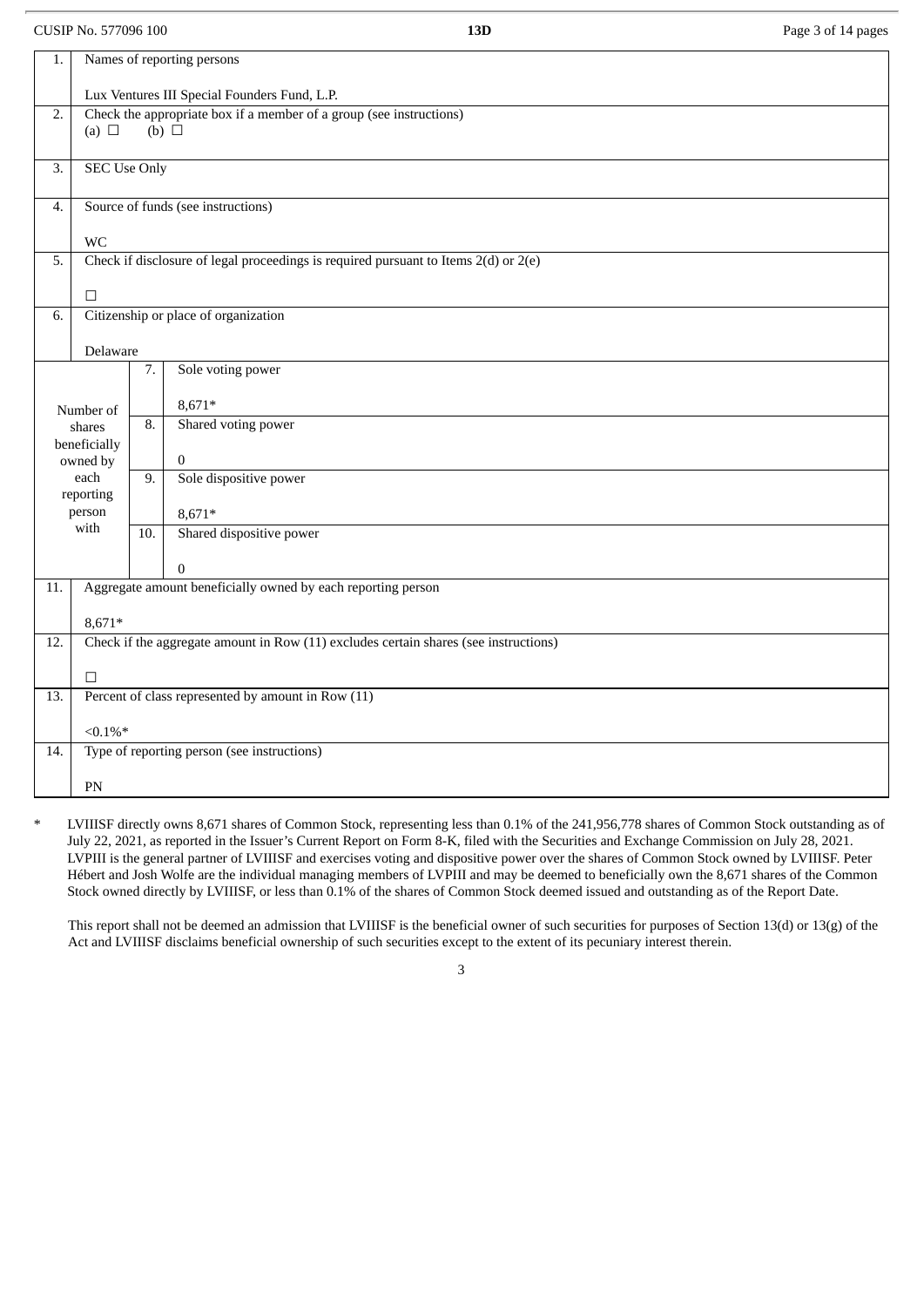CUSIP No. 577096 100 **13D** Page 3 of 14 pages

| 1.               |                                              |     | Names of reporting persons                                                              |
|------------------|----------------------------------------------|-----|-----------------------------------------------------------------------------------------|
|                  | Lux Ventures III Special Founders Fund, L.P. |     |                                                                                         |
| $\overline{2}$ . |                                              |     | Check the appropriate box if a member of a group (see instructions)                     |
|                  | (a) $\Box$                                   |     | (b) $\Box$                                                                              |
| 3.               | <b>SEC Use Only</b>                          |     |                                                                                         |
|                  |                                              |     |                                                                                         |
| 4.               |                                              |     | Source of funds (see instructions)                                                      |
|                  | <b>WC</b>                                    |     |                                                                                         |
| 5.               |                                              |     | Check if disclosure of legal proceedings is required pursuant to Items $2(d)$ or $2(e)$ |
|                  |                                              |     |                                                                                         |
|                  | $\Box$                                       |     |                                                                                         |
| 6.               |                                              |     | Citizenship or place of organization                                                    |
|                  | Delaware                                     |     |                                                                                         |
|                  |                                              | 7.  | Sole voting power                                                                       |
|                  |                                              |     |                                                                                         |
|                  | Number of                                    |     | 8,671*                                                                                  |
|                  | shares                                       |     | Shared voting power                                                                     |
|                  | beneficially<br>owned by                     |     | $\mathbf{0}$                                                                            |
|                  | each                                         |     | Sole dispositive power                                                                  |
|                  | reporting                                    |     |                                                                                         |
|                  | person                                       |     | $8,671*$                                                                                |
|                  | with                                         | 10. | Shared dispositive power                                                                |
|                  |                                              |     | $\boldsymbol{0}$                                                                        |
| 11.              |                                              |     | Aggregate amount beneficially owned by each reporting person                            |
|                  |                                              |     |                                                                                         |
| 12.              | 8,671*                                       |     | Check if the aggregate amount in Row (11) excludes certain shares (see instructions)    |
|                  |                                              |     |                                                                                         |
|                  | $\Box$                                       |     |                                                                                         |
| 13.              |                                              |     | Percent of class represented by amount in Row (11)                                      |
|                  | $< 0.1\%$ *                                  |     |                                                                                         |
| 14.              |                                              |     | Type of reporting person (see instructions)                                             |
|                  |                                              |     |                                                                                         |
|                  | PN                                           |     |                                                                                         |

LVIIISF directly owns 8,671 shares of Common Stock, representing less than 0.1% of the 241,956,778 shares of Common Stock outstanding as of July 22, 2021, as reported in the Issuer's Current Report on Form 8-K, filed with the Securities and Exchange Commission on July 28, 2021. LVPIII is the general partner of LVIIISF and exercises voting and dispositive power over the shares of Common Stock owned by LVIIISF. Peter Hébert and Josh Wolfe are the individual managing members of LVPIII and may be deemed to beneficially own the 8,671 shares of the Common Stock owned directly by LVIIISF, or less than 0.1% of the shares of Common Stock deemed issued and outstanding as of the Report Date.

This report shall not be deemed an admission that LVIIISF is the beneficial owner of such securities for purposes of Section 13(d) or 13(g) of the Act and LVIIISF disclaims beneficial ownership of such securities except to the extent of its pecuniary interest therein.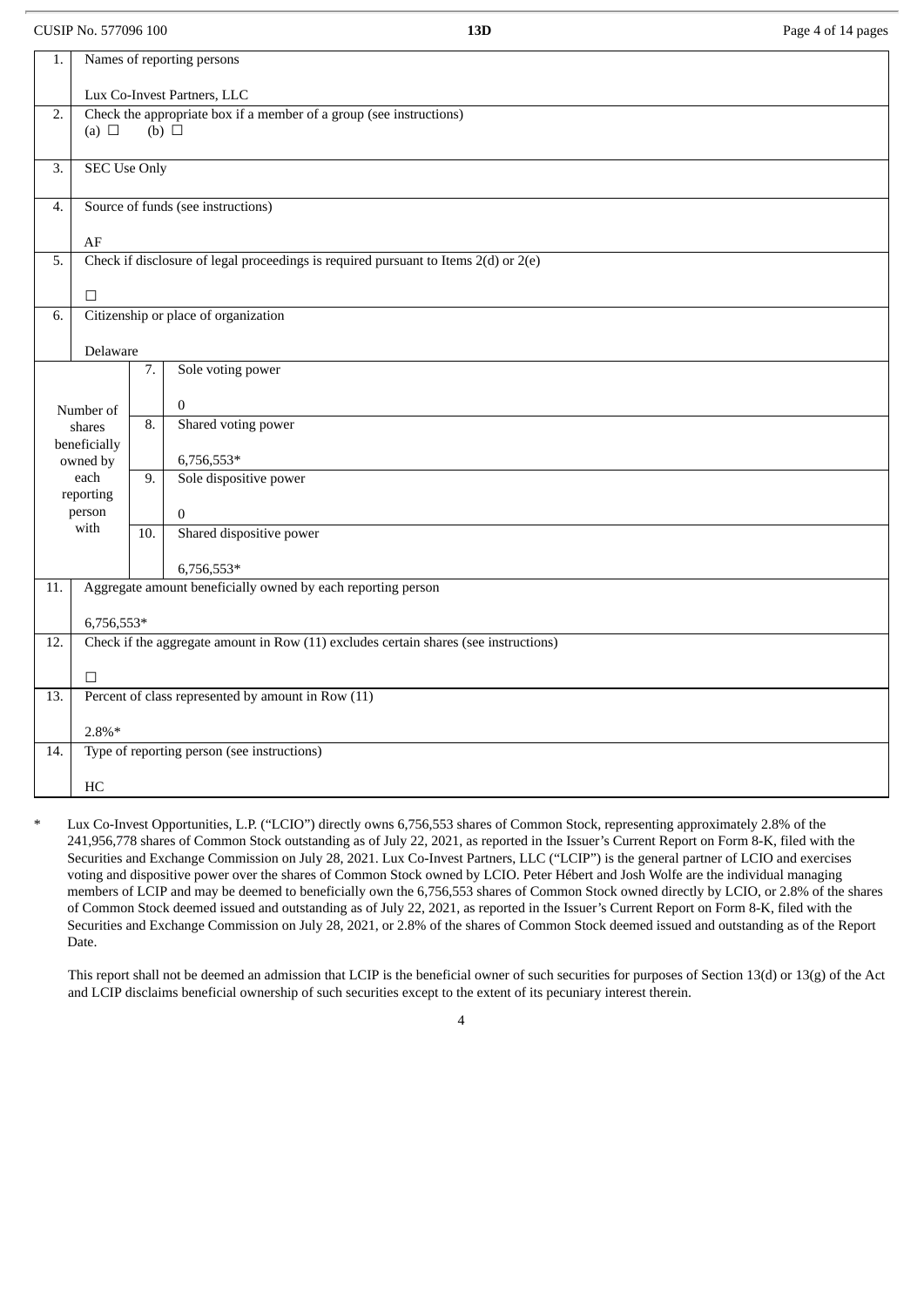CUSIP No. 577096 100 **13D** Page 4 of 14 pages

| 1.                                                                        |                                             |                   | Names of reporting persons                                                              |  |
|---------------------------------------------------------------------------|---------------------------------------------|-------------------|-----------------------------------------------------------------------------------------|--|
|                                                                           | Lux Co-Invest Partners, LLC                 |                   |                                                                                         |  |
| Check the appropriate box if a member of a group (see instructions)<br>2. |                                             |                   |                                                                                         |  |
|                                                                           | (a) $\Box$<br>$(b)$ $\square$               |                   |                                                                                         |  |
| 3.                                                                        | <b>SEC Use Only</b>                         |                   |                                                                                         |  |
| 4.                                                                        | Source of funds (see instructions)          |                   |                                                                                         |  |
|                                                                           | $\rm AF$                                    |                   |                                                                                         |  |
| 5.                                                                        |                                             |                   | Check if disclosure of legal proceedings is required pursuant to Items $2(d)$ or $2(e)$ |  |
|                                                                           | $\Box$                                      |                   |                                                                                         |  |
| 6.                                                                        |                                             |                   | Citizenship or place of organization                                                    |  |
|                                                                           | Delaware                                    |                   |                                                                                         |  |
|                                                                           |                                             | 7.                | Sole voting power                                                                       |  |
|                                                                           |                                             |                   | $\overline{0}$                                                                          |  |
|                                                                           | Number of<br>shares                         |                   | Shared voting power                                                                     |  |
|                                                                           | beneficially                                |                   |                                                                                         |  |
|                                                                           | owned by<br>each                            |                   | 6,756,553*<br>Sole dispositive power                                                    |  |
|                                                                           | reporting<br>person                         |                   |                                                                                         |  |
|                                                                           | with                                        | $\overline{10}$ . | $\overline{0}$<br>Shared dispositive power                                              |  |
|                                                                           |                                             |                   |                                                                                         |  |
| 11.                                                                       |                                             |                   | 6,756,553*<br>Aggregate amount beneficially owned by each reporting person              |  |
|                                                                           |                                             |                   |                                                                                         |  |
| 12.                                                                       | 6,756,553*                                  |                   | Check if the aggregate amount in Row (11) excludes certain shares (see instructions)    |  |
|                                                                           |                                             |                   |                                                                                         |  |
| 13.                                                                       | $\Box$                                      |                   | Percent of class represented by amount in Row (11)                                      |  |
|                                                                           |                                             |                   |                                                                                         |  |
| 14.                                                                       | $2.8\%*$                                    |                   |                                                                                         |  |
|                                                                           | Type of reporting person (see instructions) |                   |                                                                                         |  |
|                                                                           | HC                                          |                   |                                                                                         |  |

Lux Co-Invest Opportunities, L.P. ("LCIO") directly owns 6,756,553 shares of Common Stock, representing approximately 2.8% of the 241,956,778 shares of Common Stock outstanding as of July 22, 2021, as reported in the Issuer's Current Report on Form 8-K, filed with the Securities and Exchange Commission on July 28, 2021. Lux Co-Invest Partners, LLC ("LCIP") is the general partner of LCIO and exercises voting and dispositive power over the shares of Common Stock owned by LCIO. Peter Hébert and Josh Wolfe are the individual managing members of LCIP and may be deemed to beneficially own the 6,756,553 shares of Common Stock owned directly by LCIO, or 2.8% of the shares of Common Stock deemed issued and outstanding as of July 22, 2021, as reported in the Issuer's Current Report on Form 8-K, filed with the Securities and Exchange Commission on July 28, 2021, or 2.8% of the shares of Common Stock deemed issued and outstanding as of the Report Date.

This report shall not be deemed an admission that LCIP is the beneficial owner of such securities for purposes of Section 13(d) or 13(g) of the Act and LCIP disclaims beneficial ownership of such securities except to the extent of its pecuniary interest therein.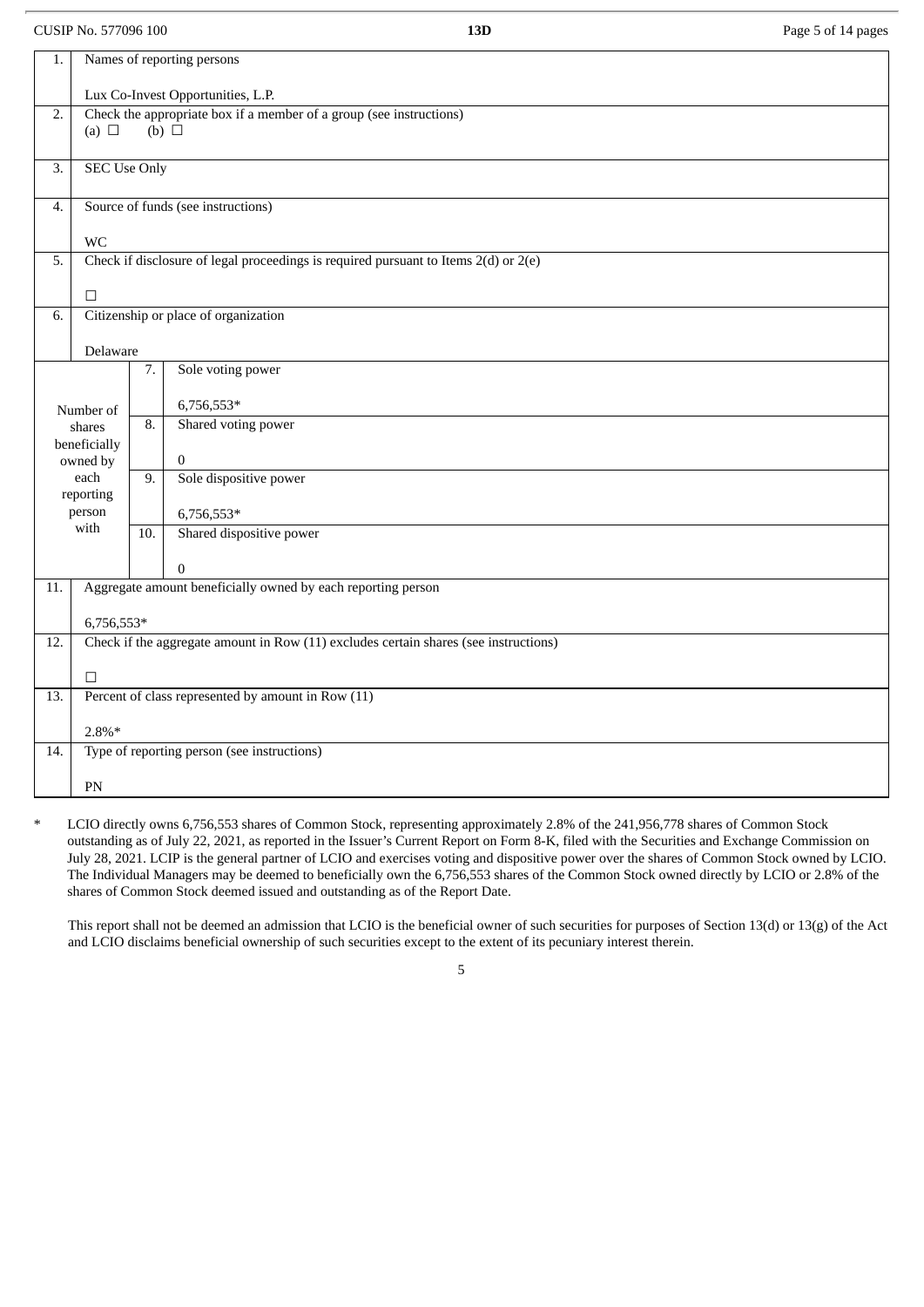CUSIP No. 577096 100 **13D** Page 5 of 14 pages

| 1.               |                                                                                                 |                   | Names of reporting persons                                                           |  |
|------------------|-------------------------------------------------------------------------------------------------|-------------------|--------------------------------------------------------------------------------------|--|
|                  | Lux Co-Invest Opportunities, L.P.                                                               |                   |                                                                                      |  |
| $\overline{2}$ . | Check the appropriate box if a member of a group (see instructions)<br>(b) $\Box$<br>(a) $\Box$ |                   |                                                                                      |  |
| 3.               | <b>SEC Use Only</b>                                                                             |                   |                                                                                      |  |
| 4.               | Source of funds (see instructions)                                                              |                   |                                                                                      |  |
|                  | <b>WC</b>                                                                                       |                   |                                                                                      |  |
| 5.               |                                                                                                 |                   | Check if disclosure of legal proceedings is required pursuant to Items 2(d) or 2(e)  |  |
|                  | $\Box$                                                                                          |                   |                                                                                      |  |
| 6.               |                                                                                                 |                   | Citizenship or place of organization                                                 |  |
|                  | Delaware                                                                                        |                   |                                                                                      |  |
|                  |                                                                                                 | 7.                | Sole voting power                                                                    |  |
|                  |                                                                                                 |                   | 6,756,553*                                                                           |  |
|                  | Number of<br>shares                                                                             |                   | Shared voting power                                                                  |  |
|                  | beneficially<br>owned by                                                                        |                   | $\boldsymbol{0}$                                                                     |  |
|                  | each                                                                                            |                   | Sole dispositive power                                                               |  |
|                  | reporting<br>person                                                                             |                   | 6,756,553*                                                                           |  |
|                  | with                                                                                            | $\overline{10}$ . | Shared dispositive power                                                             |  |
|                  |                                                                                                 |                   | $\overline{0}$                                                                       |  |
| 11.              |                                                                                                 |                   | Aggregate amount beneficially owned by each reporting person                         |  |
|                  | 6,756,553*                                                                                      |                   |                                                                                      |  |
| 12.              |                                                                                                 |                   | Check if the aggregate amount in Row (11) excludes certain shares (see instructions) |  |
|                  | $\Box$                                                                                          |                   |                                                                                      |  |
| 13.              |                                                                                                 |                   | Percent of class represented by amount in Row (11)                                   |  |
|                  |                                                                                                 |                   |                                                                                      |  |
| 14.              | $2.8\%*$                                                                                        |                   | Type of reporting person (see instructions)                                          |  |
|                  |                                                                                                 |                   |                                                                                      |  |
|                  | PN                                                                                              |                   |                                                                                      |  |

LCIO directly owns 6,756,553 shares of Common Stock, representing approximately 2.8% of the 241,956,778 shares of Common Stock outstanding as of July 22, 2021, as reported in the Issuer's Current Report on Form 8-K, filed with the Securities and Exchange Commission on July 28, 2021. LCIP is the general partner of LCIO and exercises voting and dispositive power over the shares of Common Stock owned by LCIO. The Individual Managers may be deemed to beneficially own the 6,756,553 shares of the Common Stock owned directly by LCIO or 2.8% of the shares of Common Stock deemed issued and outstanding as of the Report Date.

This report shall not be deemed an admission that LCIO is the beneficial owner of such securities for purposes of Section 13(d) or 13(g) of the Act and LCIO disclaims beneficial ownership of such securities except to the extent of its pecuniary interest therein.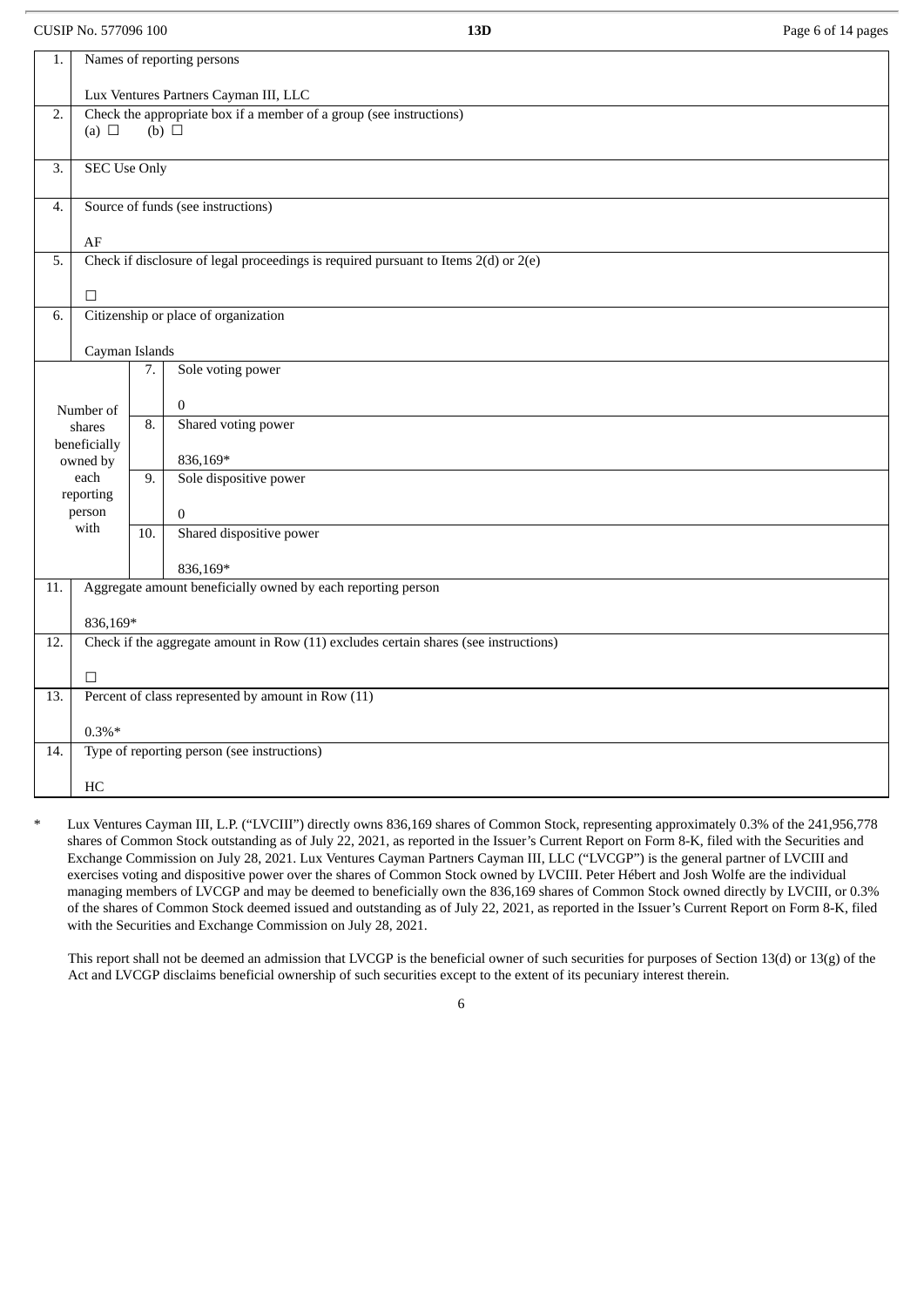CUSIP No. 577096 100 **13D** Page 6 of 14 pages

| 1.               |                                             |     | Names of reporting persons                                                              |  |  |  |
|------------------|---------------------------------------------|-----|-----------------------------------------------------------------------------------------|--|--|--|
|                  | Lux Ventures Partners Cayman III, LLC       |     |                                                                                         |  |  |  |
| 2.               | (a) $\Box$                                  |     | Check the appropriate box if a member of a group (see instructions)<br>(b) $\Box$       |  |  |  |
|                  |                                             |     |                                                                                         |  |  |  |
| $\overline{3}$ . | <b>SEC Use Only</b>                         |     |                                                                                         |  |  |  |
| 4.               | Source of funds (see instructions)          |     |                                                                                         |  |  |  |
| $\rm AF$         |                                             |     |                                                                                         |  |  |  |
| 5.               |                                             |     | Check if disclosure of legal proceedings is required pursuant to Items $2(d)$ or $2(e)$ |  |  |  |
|                  | $\Box$                                      |     |                                                                                         |  |  |  |
| 6.               |                                             |     | Citizenship or place of organization                                                    |  |  |  |
|                  | Cayman Islands                              |     |                                                                                         |  |  |  |
| 7.               |                                             |     | Sole voting power                                                                       |  |  |  |
|                  | Number of                                   |     | $\overline{0}$                                                                          |  |  |  |
|                  | shares                                      |     | Shared voting power                                                                     |  |  |  |
|                  | beneficially<br>owned by                    |     | 836,169*                                                                                |  |  |  |
|                  | each<br>reporting                           | 9.  | Sole dispositive power                                                                  |  |  |  |
|                  | person                                      |     | $\boldsymbol{0}$                                                                        |  |  |  |
|                  | with                                        | 10. | Shared dispositive power                                                                |  |  |  |
|                  |                                             |     | 836,169*                                                                                |  |  |  |
| 11.              |                                             |     | Aggregate amount beneficially owned by each reporting person                            |  |  |  |
|                  | 836,169*                                    |     |                                                                                         |  |  |  |
| 12.              |                                             |     | Check if the aggregate amount in Row (11) excludes certain shares (see instructions)    |  |  |  |
|                  | $\Box$                                      |     |                                                                                         |  |  |  |
| 13.              |                                             |     | Percent of class represented by amount in Row (11)                                      |  |  |  |
|                  | $0.3\%*$                                    |     |                                                                                         |  |  |  |
| 14.              | Type of reporting person (see instructions) |     |                                                                                         |  |  |  |
|                  | HC                                          |     |                                                                                         |  |  |  |

Lux Ventures Cayman III, L.P. ("LVCIII") directly owns 836,169 shares of Common Stock, representing approximately 0.3% of the 241,956,778 shares of Common Stock outstanding as of July 22, 2021, as reported in the Issuer's Current Report on Form 8-K, filed with the Securities and Exchange Commission on July 28, 2021. Lux Ventures Cayman Partners Cayman III, LLC ("LVCGP") is the general partner of LVCIII and exercises voting and dispositive power over the shares of Common Stock owned by LVCIII. Peter Hébert and Josh Wolfe are the individual managing members of LVCGP and may be deemed to beneficially own the 836,169 shares of Common Stock owned directly by LVCIII, or 0.3% of the shares of Common Stock deemed issued and outstanding as of July 22, 2021, as reported in the Issuer's Current Report on Form 8-K, filed with the Securities and Exchange Commission on July 28, 2021.

This report shall not be deemed an admission that LVCGP is the beneficial owner of such securities for purposes of Section 13(d) or 13(g) of the Act and LVCGP disclaims beneficial ownership of such securities except to the extent of its pecuniary interest therein.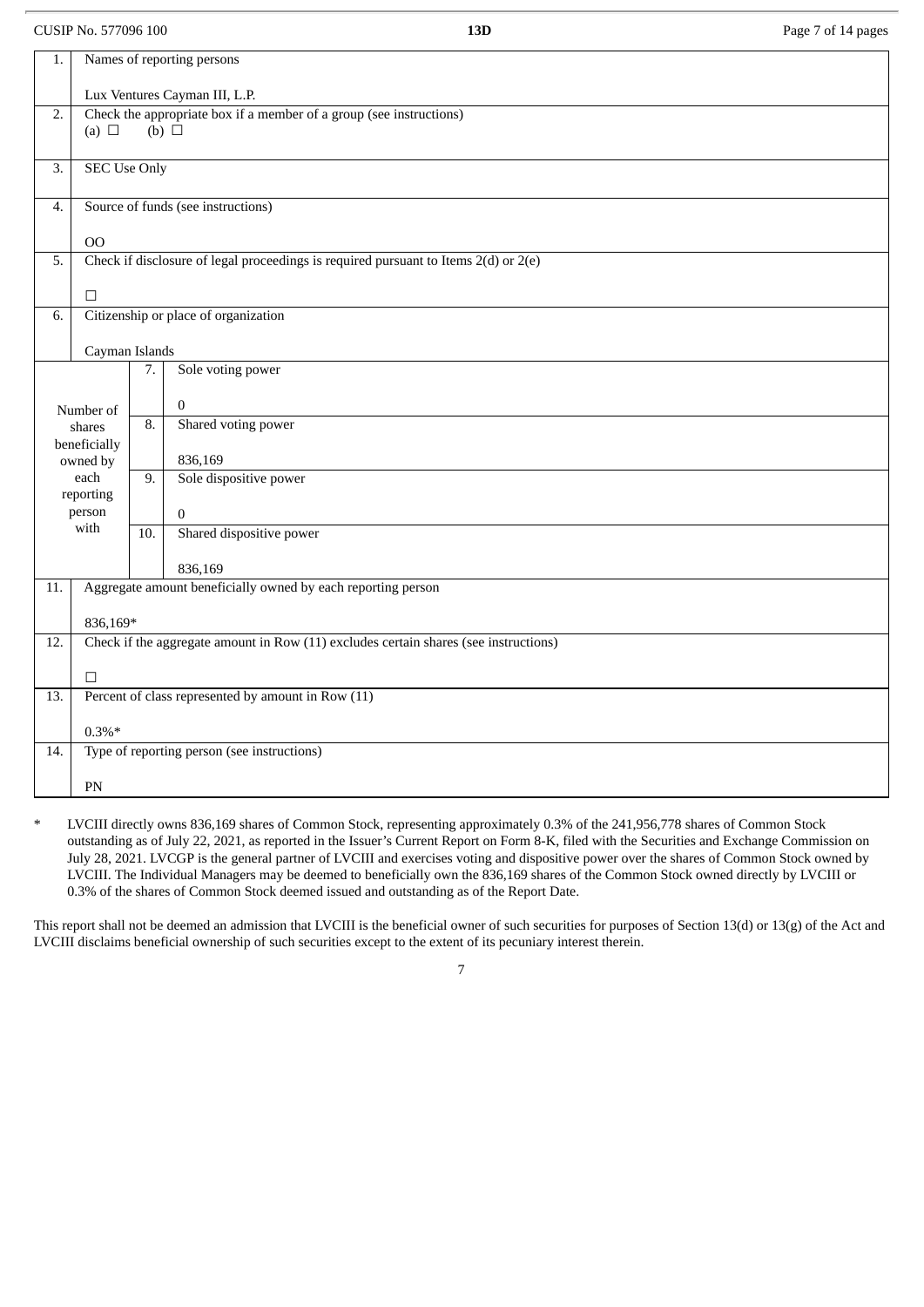CUSIP No. 577096 100 **13D** Page 7 of 14 pages

| 1.                                                                                                    | Names of reporting persons         |                   |                                                                                         |
|-------------------------------------------------------------------------------------------------------|------------------------------------|-------------------|-----------------------------------------------------------------------------------------|
|                                                                                                       | Lux Ventures Cayman III, L.P.      |                   |                                                                                         |
| Check the appropriate box if a member of a group (see instructions)<br>2.<br>(b) $\Box$<br>(a) $\Box$ |                                    |                   |                                                                                         |
|                                                                                                       |                                    |                   |                                                                                         |
| 3.                                                                                                    | <b>SEC Use Only</b>                |                   |                                                                                         |
| 4.                                                                                                    | Source of funds (see instructions) |                   |                                                                                         |
|                                                                                                       | O <sub>O</sub>                     |                   |                                                                                         |
| 5.                                                                                                    |                                    |                   | Check if disclosure of legal proceedings is required pursuant to Items $2(d)$ or $2(e)$ |
|                                                                                                       | $\Box$                             |                   |                                                                                         |
| 6.                                                                                                    |                                    |                   | Citizenship or place of organization                                                    |
|                                                                                                       | Cayman Islands                     |                   |                                                                                         |
|                                                                                                       |                                    | 7.                | Sole voting power                                                                       |
|                                                                                                       |                                    |                   | $\mathbf{0}$                                                                            |
|                                                                                                       | Number of<br>shares                |                   | Shared voting power                                                                     |
|                                                                                                       | beneficially                       |                   |                                                                                         |
|                                                                                                       | owned by<br>each                   |                   | 836,169<br>Sole dispositive power                                                       |
|                                                                                                       | reporting                          |                   |                                                                                         |
|                                                                                                       | person<br>with                     |                   | $\overline{0}$                                                                          |
|                                                                                                       |                                    | $\overline{10}$ . | Shared dispositive power                                                                |
|                                                                                                       |                                    |                   | 836,169                                                                                 |
| 11.                                                                                                   |                                    |                   | Aggregate amount beneficially owned by each reporting person                            |
|                                                                                                       | 836,169*                           |                   |                                                                                         |
| 12.                                                                                                   |                                    |                   | Check if the aggregate amount in Row (11) excludes certain shares (see instructions)    |
|                                                                                                       | $\Box$                             |                   |                                                                                         |
| 13.                                                                                                   |                                    |                   | Percent of class represented by amount in Row (11)                                      |
|                                                                                                       |                                    |                   |                                                                                         |
| 14.                                                                                                   | $0.3\%*$                           |                   | Type of reporting person (see instructions)                                             |
|                                                                                                       |                                    |                   |                                                                                         |
|                                                                                                       | PN                                 |                   |                                                                                         |

LVCIII directly owns 836,169 shares of Common Stock, representing approximately 0.3% of the 241,956,778 shares of Common Stock outstanding as of July 22, 2021, as reported in the Issuer's Current Report on Form 8-K, filed with the Securities and Exchange Commission on July 28, 2021. LVCGP is the general partner of LVCIII and exercises voting and dispositive power over the shares of Common Stock owned by LVCIII. The Individual Managers may be deemed to beneficially own the 836,169 shares of the Common Stock owned directly by LVCIII or 0.3% of the shares of Common Stock deemed issued and outstanding as of the Report Date.

This report shall not be deemed an admission that LVCIII is the beneficial owner of such securities for purposes of Section 13(d) or 13(g) of the Act and LVCIII disclaims beneficial ownership of such securities except to the extent of its pecuniary interest therein.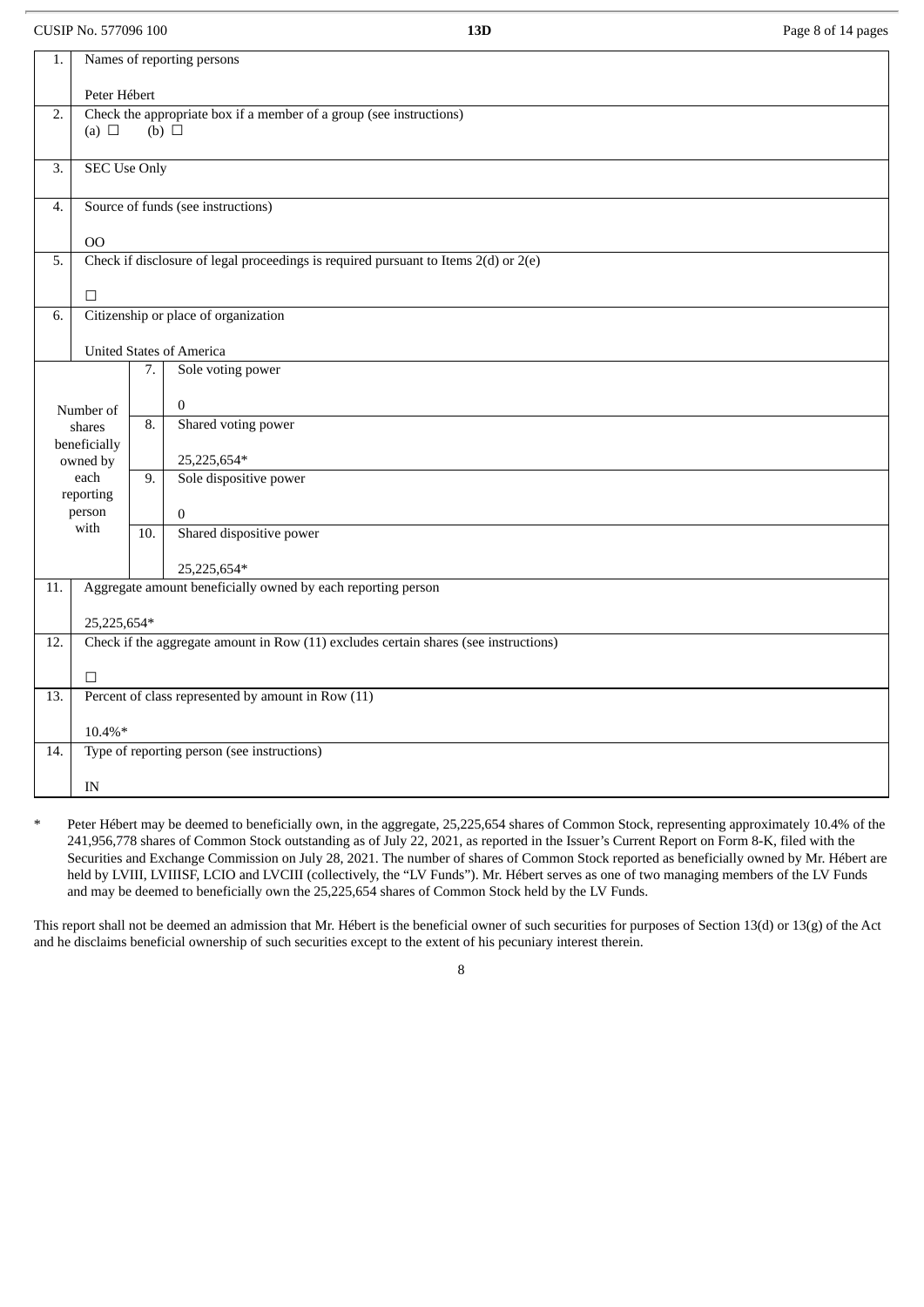CUSIP No. 577096 100 **13D** Page 8 of 14 pages

| 1.                                                                                           |                                    |                   | Names of reporting persons                                                              |
|----------------------------------------------------------------------------------------------|------------------------------------|-------------------|-----------------------------------------------------------------------------------------|
|                                                                                              | Peter Hébert                       |                   |                                                                                         |
| Check the appropriate box if a member of a group (see instructions)<br>2.<br>$(b)$ $\square$ |                                    |                   |                                                                                         |
|                                                                                              | (a) $\Box$                         |                   |                                                                                         |
| 3.                                                                                           | <b>SEC Use Only</b>                |                   |                                                                                         |
| 4.                                                                                           | Source of funds (see instructions) |                   |                                                                                         |
|                                                                                              | O <sub>O</sub>                     |                   |                                                                                         |
| 5.                                                                                           |                                    |                   | Check if disclosure of legal proceedings is required pursuant to Items $2(d)$ or $2(e)$ |
|                                                                                              | $\Box$                             |                   |                                                                                         |
| 6.                                                                                           |                                    |                   | Citizenship or place of organization                                                    |
|                                                                                              |                                    |                   | <b>United States of America</b>                                                         |
| Sole voting power<br>7.                                                                      |                                    |                   |                                                                                         |
|                                                                                              | Number of                          |                   | $\bf{0}$                                                                                |
|                                                                                              | shares                             |                   | Shared voting power                                                                     |
|                                                                                              | beneficially<br>owned by           |                   | 25,225,654*                                                                             |
|                                                                                              | each                               |                   | Sole dispositive power                                                                  |
|                                                                                              | reporting<br>person                |                   | $\overline{0}$                                                                          |
|                                                                                              | with                               | $\overline{10}$ . | Shared dispositive power                                                                |
|                                                                                              |                                    |                   | 25,225,654*                                                                             |
| 11.                                                                                          |                                    |                   | Aggregate amount beneficially owned by each reporting person                            |
|                                                                                              | 25,225,654*                        |                   |                                                                                         |
| 12.                                                                                          |                                    |                   | Check if the aggregate amount in Row (11) excludes certain shares (see instructions)    |
|                                                                                              | $\Box$                             |                   |                                                                                         |
| 13.                                                                                          |                                    |                   | Percent of class represented by amount in Row (11)                                      |
|                                                                                              | $10.4\%*$                          |                   |                                                                                         |
| 14.                                                                                          |                                    |                   | Type of reporting person (see instructions)                                             |
|                                                                                              | IN                                 |                   |                                                                                         |

Peter Hébert may be deemed to beneficially own, in the aggregate, 25,225,654 shares of Common Stock, representing approximately 10.4% of the 241,956,778 shares of Common Stock outstanding as of July 22, 2021, as reported in the Issuer's Current Report on Form 8-K, filed with the Securities and Exchange Commission on July 28, 2021. The number of shares of Common Stock reported as beneficially owned by Mr. Hébert are held by LVIII, LVIIISF, LCIO and LVCIII (collectively, the "LV Funds"). Mr. Hébert serves as one of two managing members of the LV Funds and may be deemed to beneficially own the 25,225,654 shares of Common Stock held by the LV Funds.

This report shall not be deemed an admission that Mr. Hébert is the beneficial owner of such securities for purposes of Section 13(d) or 13(g) of the Act and he disclaims beneficial ownership of such securities except to the extent of his pecuniary interest therein.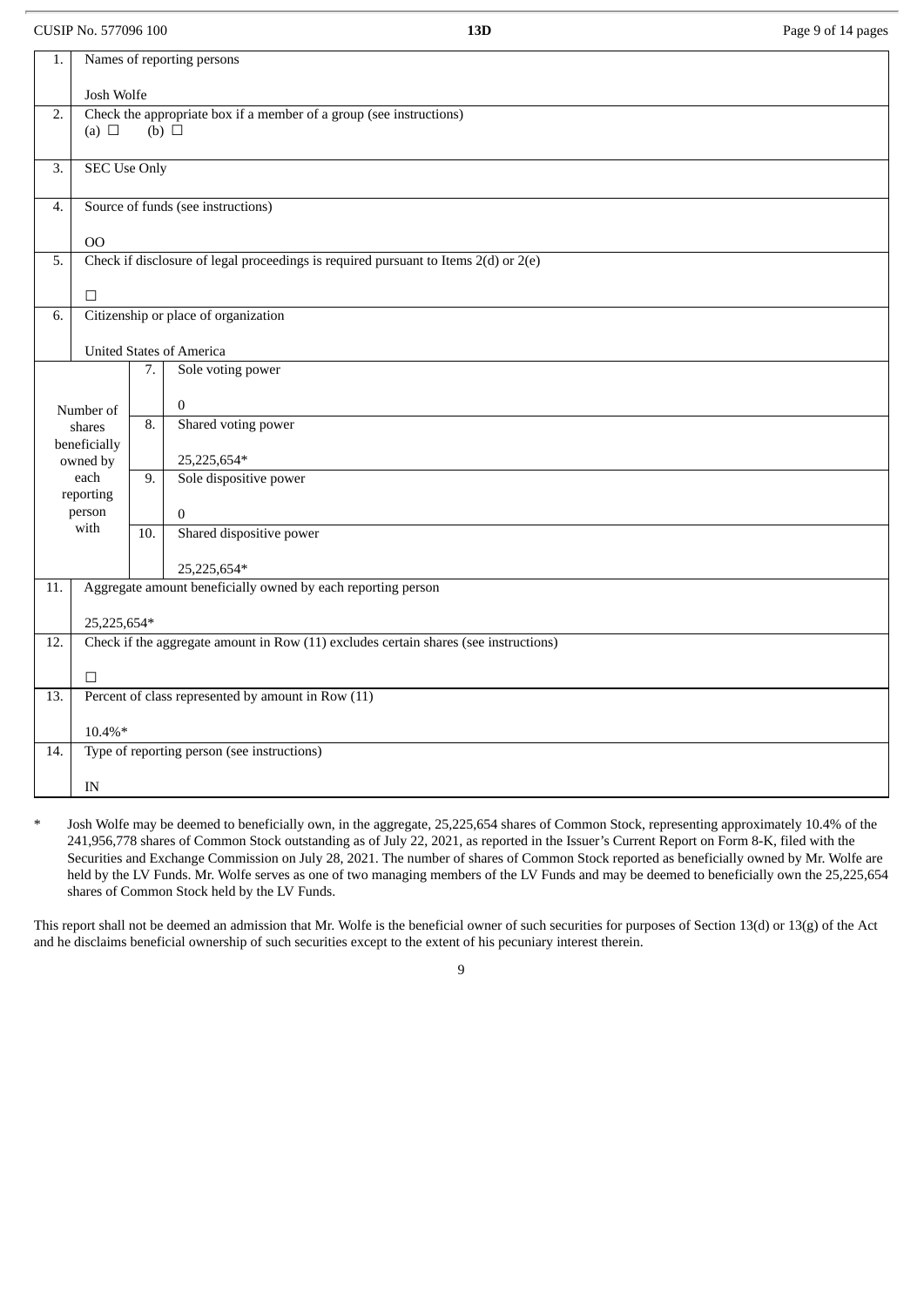CUSIP No. 577096 100 **13D** Page 9 of 14 pages

| 1.  |                                                                     |                  | Names of reporting persons                                                              |  |  |
|-----|---------------------------------------------------------------------|------------------|-----------------------------------------------------------------------------------------|--|--|
|     | Josh Wolfe                                                          |                  |                                                                                         |  |  |
| 2.  | Check the appropriate box if a member of a group (see instructions) |                  |                                                                                         |  |  |
|     | (a) $\Box$                                                          |                  | $(b)$ $\square$                                                                         |  |  |
|     |                                                                     |                  |                                                                                         |  |  |
| 3.  | <b>SEC Use Only</b>                                                 |                  |                                                                                         |  |  |
| 4.  | Source of funds (see instructions)                                  |                  |                                                                                         |  |  |
|     | O <sub>O</sub>                                                      |                  |                                                                                         |  |  |
| 5.  |                                                                     |                  | Check if disclosure of legal proceedings is required pursuant to Items $2(d)$ or $2(e)$ |  |  |
|     |                                                                     |                  |                                                                                         |  |  |
|     | $\Box$                                                              |                  |                                                                                         |  |  |
| 6.  |                                                                     |                  | Citizenship or place of organization                                                    |  |  |
|     |                                                                     |                  |                                                                                         |  |  |
|     |                                                                     |                  | <b>United States of America</b><br>Sole voting power                                    |  |  |
|     |                                                                     | 7.               |                                                                                         |  |  |
|     | Number of                                                           |                  | $\bf{0}$                                                                                |  |  |
|     | shares                                                              | $\overline{8}$ . | Shared voting power                                                                     |  |  |
|     | beneficially                                                        |                  |                                                                                         |  |  |
|     | owned by                                                            |                  | 25,225,654*                                                                             |  |  |
|     | each                                                                | 9.               | Sole dispositive power                                                                  |  |  |
|     | reporting<br>person                                                 |                  |                                                                                         |  |  |
|     | with                                                                |                  | $\boldsymbol{0}$<br>Shared dispositive power                                            |  |  |
|     |                                                                     | 10.              |                                                                                         |  |  |
|     |                                                                     |                  | 25,225,654*                                                                             |  |  |
| 11. |                                                                     |                  | Aggregate amount beneficially owned by each reporting person                            |  |  |
|     | 25,225,654*                                                         |                  |                                                                                         |  |  |
| 12. |                                                                     |                  | Check if the aggregate amount in Row (11) excludes certain shares (see instructions)    |  |  |
|     |                                                                     |                  |                                                                                         |  |  |
|     | $\Box$                                                              |                  |                                                                                         |  |  |
| 13. |                                                                     |                  | Percent of class represented by amount in Row (11)                                      |  |  |
|     | $10.4\%*$                                                           |                  |                                                                                         |  |  |
| 14. |                                                                     |                  | Type of reporting person (see instructions)                                             |  |  |
|     | IN                                                                  |                  |                                                                                         |  |  |
|     |                                                                     |                  |                                                                                         |  |  |

\* Josh Wolfe may be deemed to beneficially own, in the aggregate, 25,225,654 shares of Common Stock, representing approximately 10.4% of the 241,956,778 shares of Common Stock outstanding as of July 22, 2021, as reported in the Issuer's Current Report on Form 8-K, filed with the Securities and Exchange Commission on July 28, 2021. The number of shares of Common Stock reported as beneficially owned by Mr. Wolfe are held by the LV Funds. Mr. Wolfe serves as one of two managing members of the LV Funds and may be deemed to beneficially own the 25,225,654 shares of Common Stock held by the LV Funds.

This report shall not be deemed an admission that Mr. Wolfe is the beneficial owner of such securities for purposes of Section 13(d) or 13(g) of the Act and he disclaims beneficial ownership of such securities except to the extent of his pecuniary interest therein.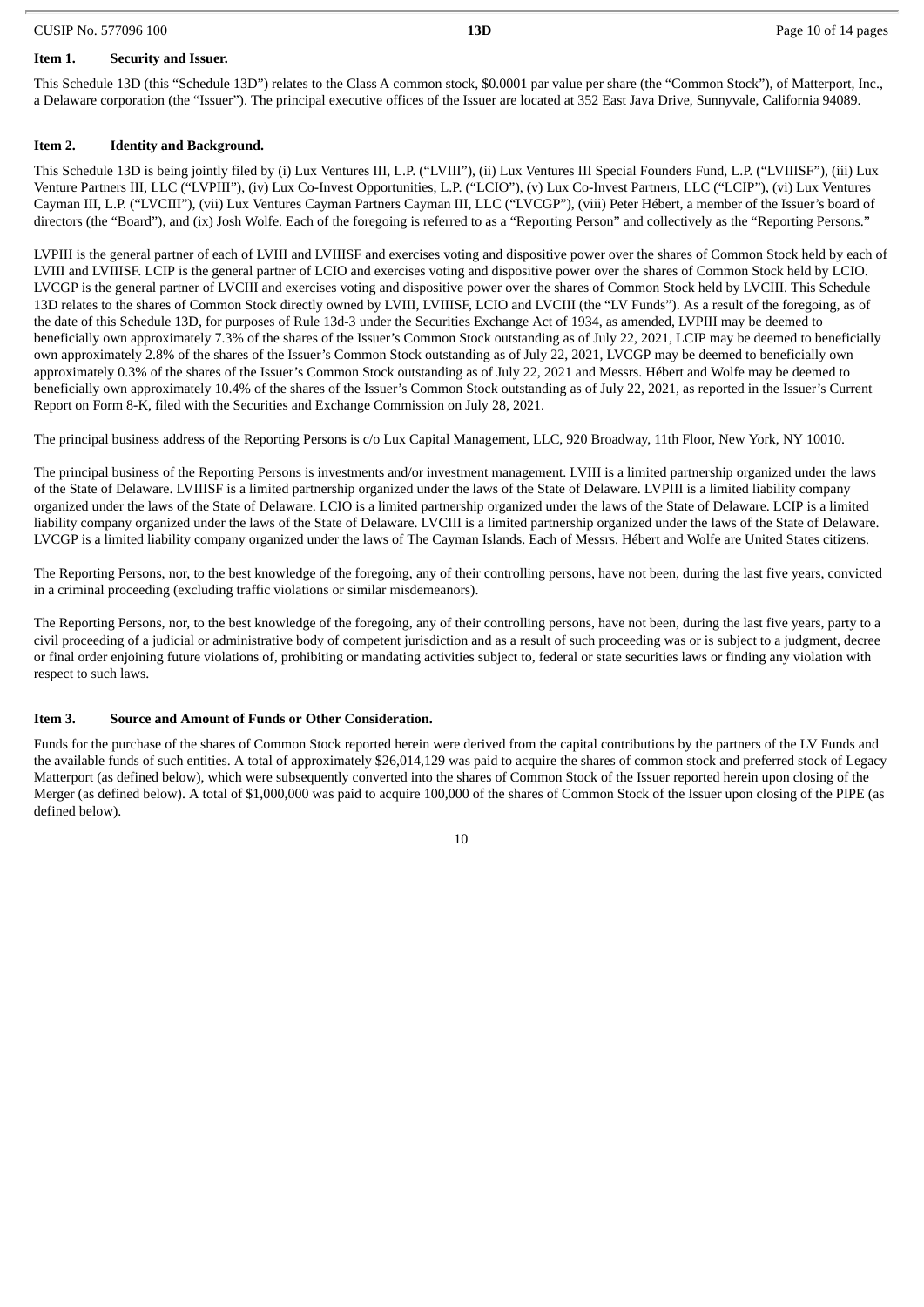# **Item 1. Security and Issuer.**

This Schedule 13D (this "Schedule 13D") relates to the Class A common stock, \$0.0001 par value per share (the "Common Stock"), of Matterport, Inc., a Delaware corporation (the "Issuer"). The principal executive offices of the Issuer are located at 352 East Java Drive, Sunnyvale, California 94089.

### **Item 2. Identity and Background.**

This Schedule 13D is being jointly filed by (i) Lux Ventures III, L.P. ("LVIII"), (ii) Lux Ventures III Special Founders Fund, L.P. ("LVIIISF"), (iii) Lux Venture Partners III, LLC ("LVPIII"), (iv) Lux Co-Invest Opportunities, L.P. ("LCIO"), (v) Lux Co-Invest Partners, LLC ("LCIP"), (vi) Lux Ventures Cayman III, L.P. ("LVCIII"), (vii) Lux Ventures Cayman Partners Cayman III, LLC ("LVCGP"), (viii) Peter Hébert, a member of the Issuer's board of directors (the "Board"), and (ix) Josh Wolfe. Each of the foregoing is referred to as a "Reporting Person" and collectively as the "Reporting Persons."

LVPIII is the general partner of each of LVIII and LVIIISF and exercises voting and dispositive power over the shares of Common Stock held by each of LVIII and LVIIISF. LCIP is the general partner of LCIO and exercises voting and dispositive power over the shares of Common Stock held by LCIO. LVCGP is the general partner of LVCIII and exercises voting and dispositive power over the shares of Common Stock held by LVCIII. This Schedule 13D relates to the shares of Common Stock directly owned by LVIII, LVIIISF, LCIO and LVCIII (the "LV Funds"). As a result of the foregoing, as of the date of this Schedule 13D, for purposes of Rule 13d-3 under the Securities Exchange Act of 1934, as amended, LVPIII may be deemed to beneficially own approximately 7.3% of the shares of the Issuer's Common Stock outstanding as of July 22, 2021, LCIP may be deemed to beneficially own approximately 2.8% of the shares of the Issuer's Common Stock outstanding as of July 22, 2021, LVCGP may be deemed to beneficially own approximately 0.3% of the shares of the Issuer's Common Stock outstanding as of July 22, 2021 and Messrs. Hébert and Wolfe may be deemed to beneficially own approximately 10.4% of the shares of the Issuer's Common Stock outstanding as of July 22, 2021, as reported in the Issuer's Current Report on Form 8-K, filed with the Securities and Exchange Commission on July 28, 2021.

The principal business address of the Reporting Persons is c/o Lux Capital Management, LLC, 920 Broadway, 11th Floor, New York, NY 10010.

The principal business of the Reporting Persons is investments and/or investment management. LVIII is a limited partnership organized under the laws of the State of Delaware. LVIIISF is a limited partnership organized under the laws of the State of Delaware. LVPIII is a limited liability company organized under the laws of the State of Delaware. LCIO is a limited partnership organized under the laws of the State of Delaware. LCIP is a limited liability company organized under the laws of the State of Delaware. LVCIII is a limited partnership organized under the laws of the State of Delaware. LVCGP is a limited liability company organized under the laws of The Cayman Islands. Each of Messrs. Hébert and Wolfe are United States citizens.

The Reporting Persons, nor, to the best knowledge of the foregoing, any of their controlling persons, have not been, during the last five years, convicted in a criminal proceeding (excluding traffic violations or similar misdemeanors).

The Reporting Persons, nor, to the best knowledge of the foregoing, any of their controlling persons, have not been, during the last five years, party to a civil proceeding of a judicial or administrative body of competent jurisdiction and as a result of such proceeding was or is subject to a judgment, decree or final order enjoining future violations of, prohibiting or mandating activities subject to, federal or state securities laws or finding any violation with respect to such laws.

# **Item 3. Source and Amount of Funds or Other Consideration.**

Funds for the purchase of the shares of Common Stock reported herein were derived from the capital contributions by the partners of the LV Funds and the available funds of such entities. A total of approximately \$26,014,129 was paid to acquire the shares of common stock and preferred stock of Legacy Matterport (as defined below), which were subsequently converted into the shares of Common Stock of the Issuer reported herein upon closing of the Merger (as defined below). A total of \$1,000,000 was paid to acquire 100,000 of the shares of Common Stock of the Issuer upon closing of the PIPE (as defined below).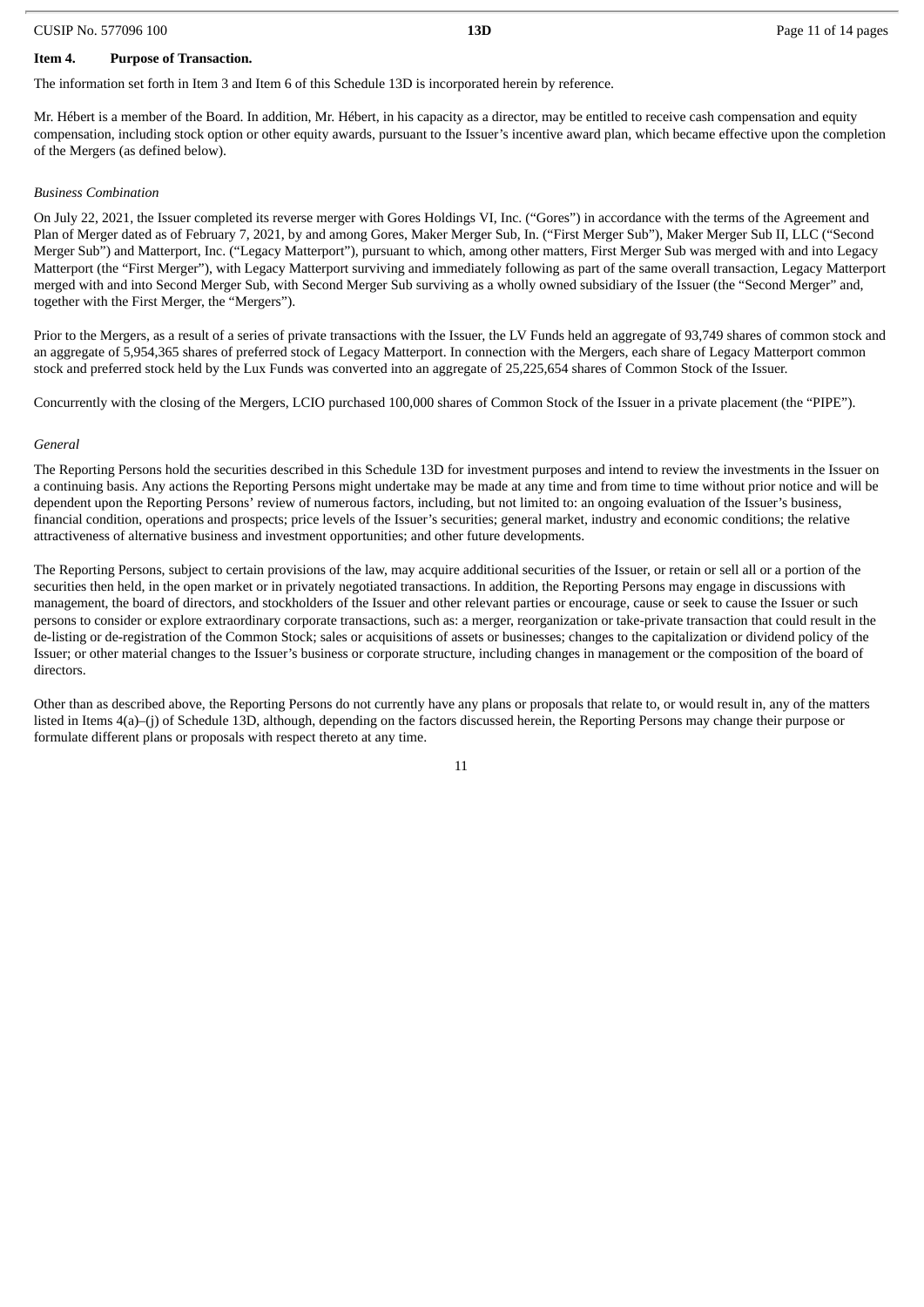#### CUSIP No. 577096 100 **13D** Page 11 of 14 pages

# **Item 4. Purpose of Transaction.**

The information set forth in Item 3 and Item 6 of this Schedule 13D is incorporated herein by reference.

Mr. Hébert is a member of the Board. In addition, Mr. Hébert, in his capacity as a director, may be entitled to receive cash compensation and equity compensation, including stock option or other equity awards, pursuant to the Issuer's incentive award plan, which became effective upon the completion of the Mergers (as defined below).

# *Business Combination*

On July 22, 2021, the Issuer completed its reverse merger with Gores Holdings VI, Inc. ("Gores") in accordance with the terms of the Agreement and Plan of Merger dated as of February 7, 2021, by and among Gores, Maker Merger Sub, In. ("First Merger Sub"), Maker Merger Sub II, LLC ("Second Merger Sub") and Matterport, Inc. ("Legacy Matterport"), pursuant to which, among other matters, First Merger Sub was merged with and into Legacy Matterport (the "First Merger"), with Legacy Matterport surviving and immediately following as part of the same overall transaction, Legacy Matterport merged with and into Second Merger Sub, with Second Merger Sub surviving as a wholly owned subsidiary of the Issuer (the "Second Merger" and, together with the First Merger, the "Mergers").

Prior to the Mergers, as a result of a series of private transactions with the Issuer, the LV Funds held an aggregate of 93,749 shares of common stock and an aggregate of 5,954,365 shares of preferred stock of Legacy Matterport. In connection with the Mergers, each share of Legacy Matterport common stock and preferred stock held by the Lux Funds was converted into an aggregate of 25,225,654 shares of Common Stock of the Issuer.

Concurrently with the closing of the Mergers, LCIO purchased 100,000 shares of Common Stock of the Issuer in a private placement (the "PIPE").

# *General*

The Reporting Persons hold the securities described in this Schedule 13D for investment purposes and intend to review the investments in the Issuer on a continuing basis. Any actions the Reporting Persons might undertake may be made at any time and from time to time without prior notice and will be dependent upon the Reporting Persons' review of numerous factors, including, but not limited to: an ongoing evaluation of the Issuer's business, financial condition, operations and prospects; price levels of the Issuer's securities; general market, industry and economic conditions; the relative attractiveness of alternative business and investment opportunities; and other future developments.

The Reporting Persons, subject to certain provisions of the law, may acquire additional securities of the Issuer, or retain or sell all or a portion of the securities then held, in the open market or in privately negotiated transactions. In addition, the Reporting Persons may engage in discussions with management, the board of directors, and stockholders of the Issuer and other relevant parties or encourage, cause or seek to cause the Issuer or such persons to consider or explore extraordinary corporate transactions, such as: a merger, reorganization or take-private transaction that could result in the de-listing or de-registration of the Common Stock; sales or acquisitions of assets or businesses; changes to the capitalization or dividend policy of the Issuer; or other material changes to the Issuer's business or corporate structure, including changes in management or the composition of the board of directors.

Other than as described above, the Reporting Persons do not currently have any plans or proposals that relate to, or would result in, any of the matters listed in Items 4(a)–(j) of Schedule 13D, although, depending on the factors discussed herein, the Reporting Persons may change their purpose or formulate different plans or proposals with respect thereto at any time.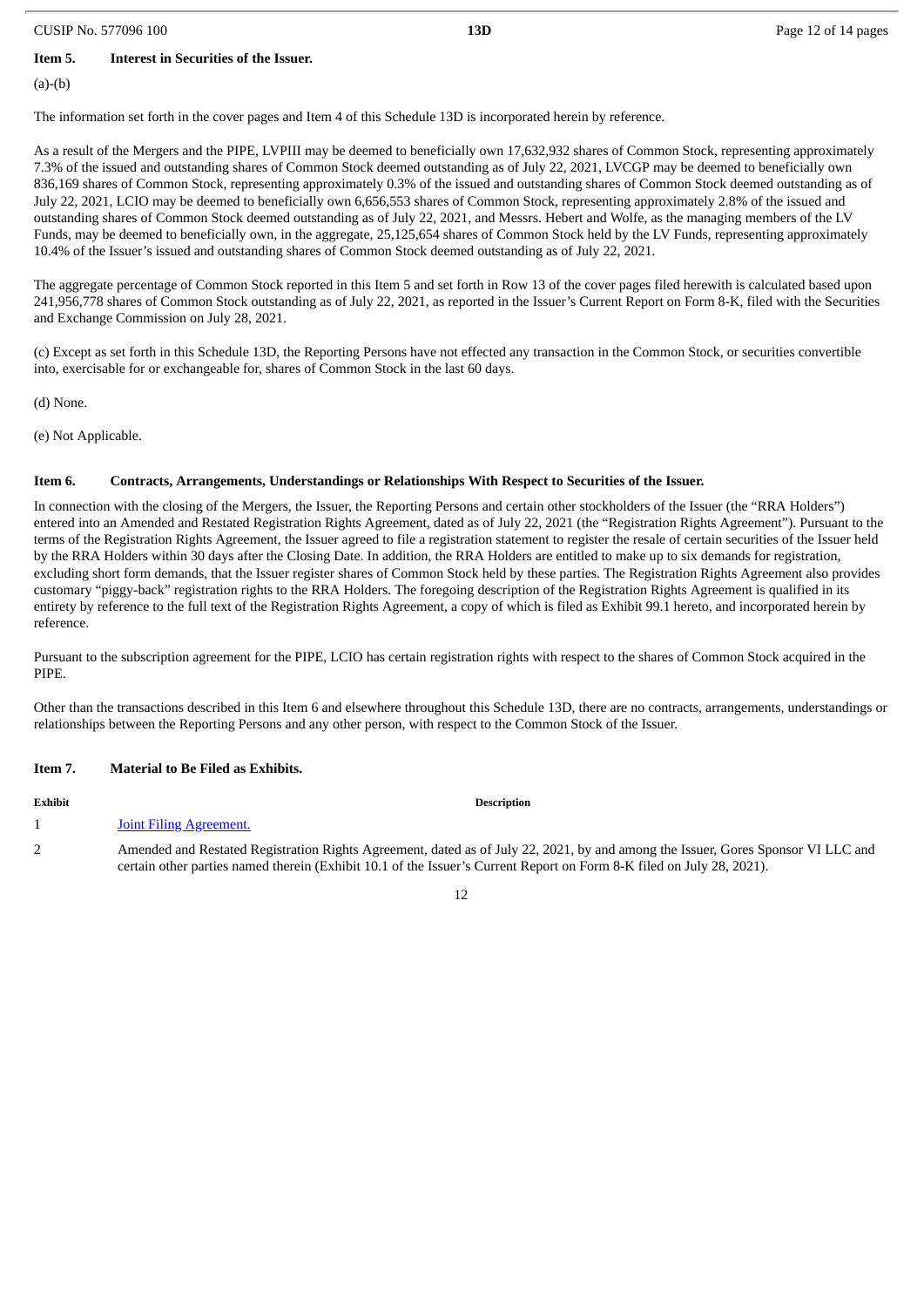#### CUSIP No. 577096 100 **13D** Page 12 of 14 pages

**Item 5. Interest in Securities of the Issuer.**

(a)-(b)

The information set forth in the cover pages and Item 4 of this Schedule 13D is incorporated herein by reference.

As a result of the Mergers and the PIPE, LVPIII may be deemed to beneficially own 17,632,932 shares of Common Stock, representing approximately 7.3% of the issued and outstanding shares of Common Stock deemed outstanding as of July 22, 2021, LVCGP may be deemed to beneficially own 836,169 shares of Common Stock, representing approximately 0.3% of the issued and outstanding shares of Common Stock deemed outstanding as of July 22, 2021, LCIO may be deemed to beneficially own 6,656,553 shares of Common Stock, representing approximately 2.8% of the issued and outstanding shares of Common Stock deemed outstanding as of July 22, 2021, and Messrs. Hebert and Wolfe, as the managing members of the LV Funds, may be deemed to beneficially own, in the aggregate, 25,125,654 shares of Common Stock held by the LV Funds, representing approximately 10.4% of the Issuer's issued and outstanding shares of Common Stock deemed outstanding as of July 22, 2021.

The aggregate percentage of Common Stock reported in this Item 5 and set forth in Row 13 of the cover pages filed herewith is calculated based upon 241,956,778 shares of Common Stock outstanding as of July 22, 2021, as reported in the Issuer's Current Report on Form 8-K, filed with the Securities and Exchange Commission on July 28, 2021.

(c) Except as set forth in this Schedule 13D, the Reporting Persons have not effected any transaction in the Common Stock, or securities convertible into, exercisable for or exchangeable for, shares of Common Stock in the last 60 days.

(d) None.

(e) Not Applicable.

#### **Item 6. Contracts, Arrangements, Understandings or Relationships With Respect to Securities of the Issuer.**

In connection with the closing of the Mergers, the Issuer, the Reporting Persons and certain other stockholders of the Issuer (the "RRA Holders") entered into an Amended and Restated Registration Rights Agreement, dated as of July 22, 2021 (the "Registration Rights Agreement"). Pursuant to the terms of the Registration Rights Agreement, the Issuer agreed to file a registration statement to register the resale of certain securities of the Issuer held by the RRA Holders within 30 days after the Closing Date. In addition, the RRA Holders are entitled to make up to six demands for registration, excluding short form demands, that the Issuer register shares of Common Stock held by these parties. The Registration Rights Agreement also provides customary "piggy-back" registration rights to the RRA Holders. The foregoing description of the Registration Rights Agreement is qualified in its entirety by reference to the full text of the Registration Rights Agreement, a copy of which is filed as Exhibit 99.1 hereto, and incorporated herein by reference.

Pursuant to the subscription agreement for the PIPE, LCIO has certain registration rights with respect to the shares of Common Stock acquired in the PIPE.

Other than the transactions described in this Item 6 and elsewhere throughout this Schedule 13D, there are no contracts, arrangements, understandings or relationships between the Reporting Persons and any other person, with respect to the Common Stock of the Issuer.

#### **Item 7. Material to Be Filed as Exhibits.**

| Exhibit | <b>Description</b>                                                                                                                                                                                                                                        |
|---------|-----------------------------------------------------------------------------------------------------------------------------------------------------------------------------------------------------------------------------------------------------------|
|         | Joint Filing Agreement.                                                                                                                                                                                                                                   |
|         | Amended and Restated Registration Rights Agreement, dated as of July 22, 2021, by and among the Issuer, Gores Sponsor VI LLC and<br>certain other parties named therein (Exhibit 10.1 of the Issuer's Current Report on Form 8-K filed on July 28, 2021). |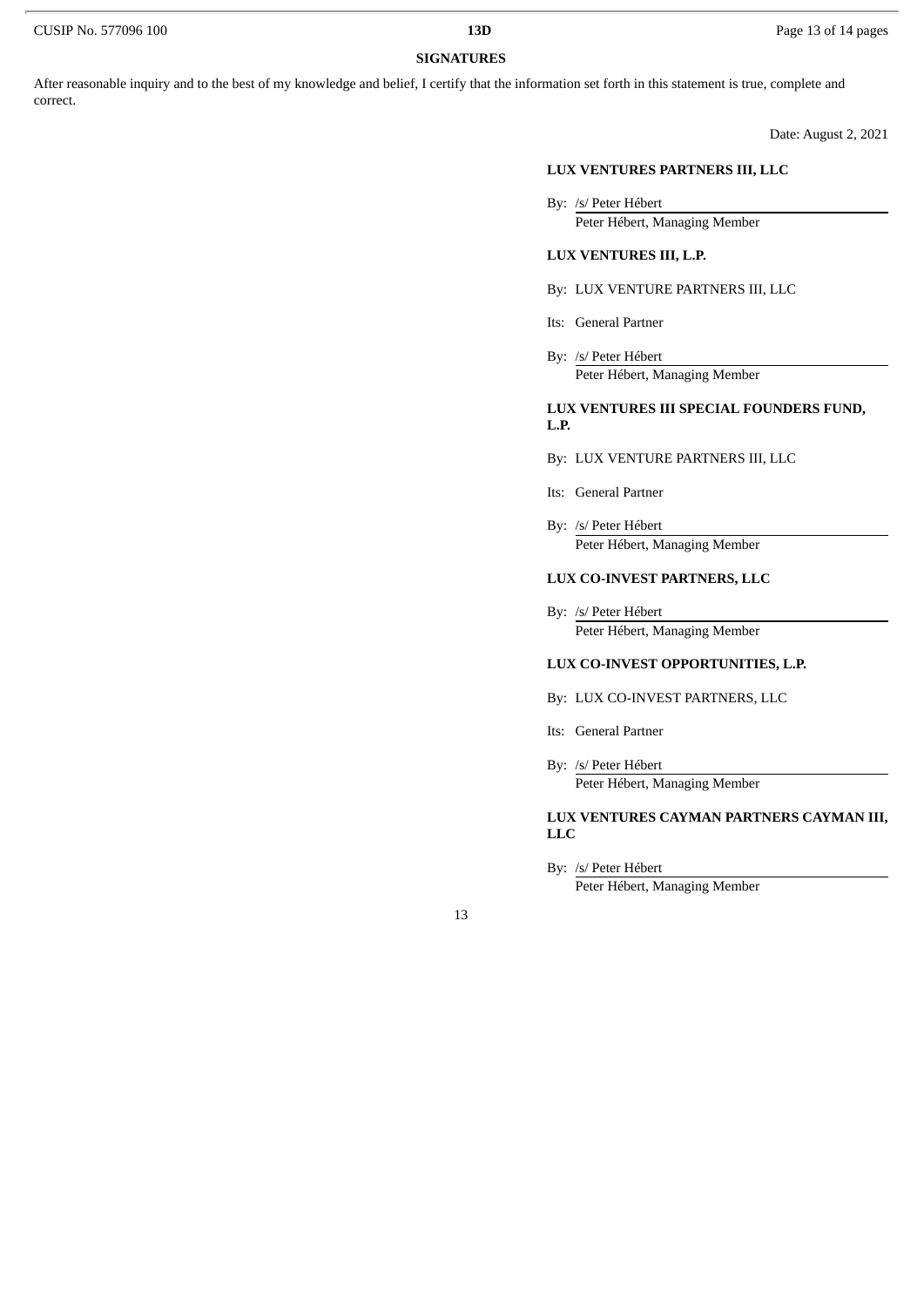# **SIGNATURES**

After reasonable inquiry and to the best of my knowledge and belief, I certify that the information set forth in this statement is true, complete and correct.

Date: August 2, 2021

#### **LUX VENTURES PARTNERS III, LLC**

By: /s/ Peter Hébert

Peter Hébert, Managing Member

#### **LUX VENTURES III, L.P.**

- By: LUX VENTURE PARTNERS III, LLC
- Its: General Partner
- By: /s/ Peter Hébert Peter Hébert, Managing Member

#### **LUX VENTURES III SPECIAL FOUNDERS FUND, L.P.**

- By: LUX VENTURE PARTNERS III, LLC
- Its: General Partner
- By: /s/ Peter Hébert Peter Hébert, Managing Member

# **LUX CO-INVEST PARTNERS, LLC**

By: /s/ Peter Hébert Peter Hébert, Managing Member

#### **LUX CO-INVEST OPPORTUNITIES, L.P.**

- By: LUX CO-INVEST PARTNERS, LLC
- Its: General Partner
- By: /s/ Peter Hébert Peter Hébert, Managing Member

# **LUX VENTURES CAYMAN PARTNERS CAYMAN III, LLC**

By: /s/ Peter Hébert

Peter Hébert, Managing Member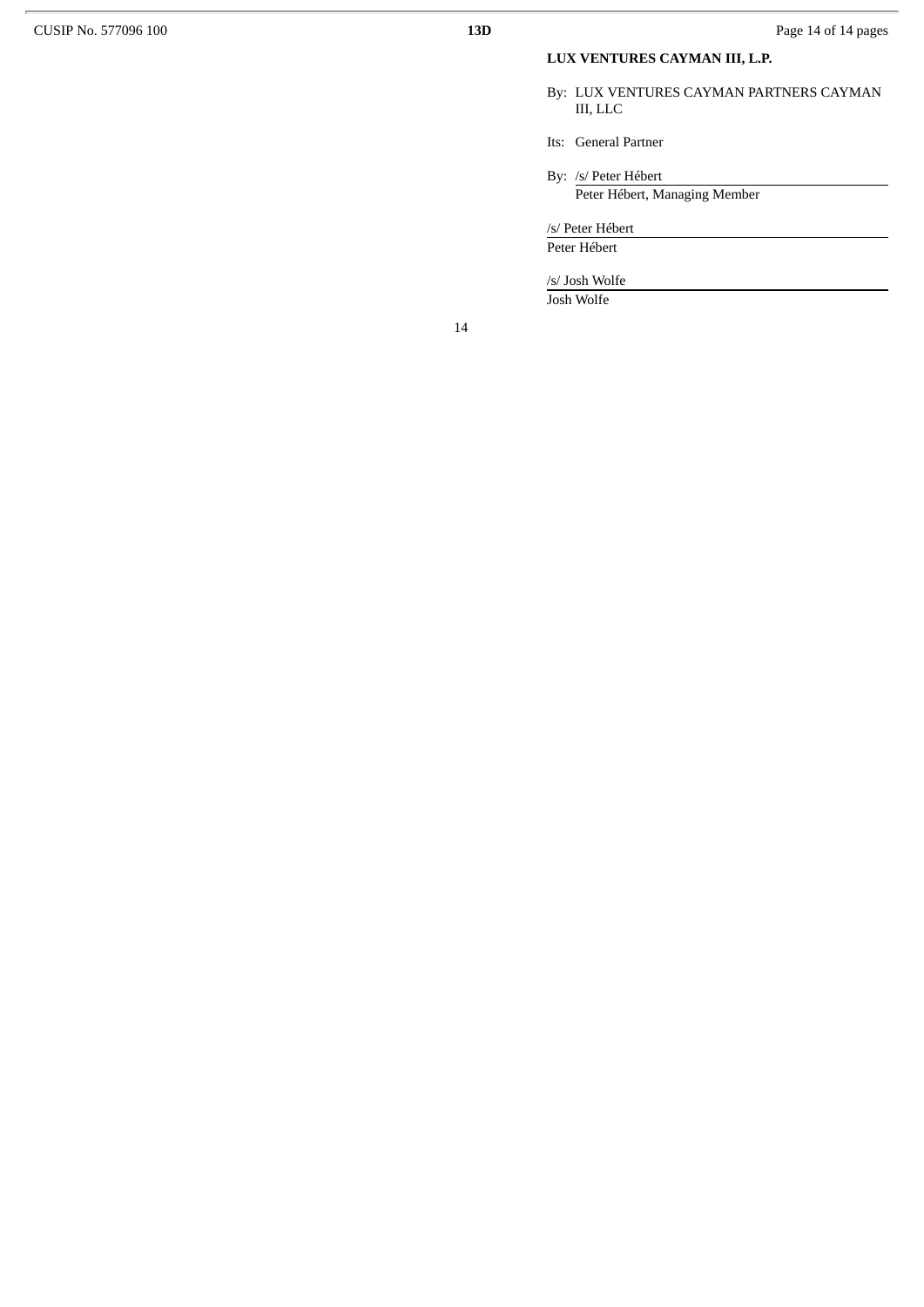# **LUX VENTURES CAYMAN III, L.P.**

By: LUX VENTURES CAYMAN PARTNERS CAYMAN III, LLC

Its: General Partner

By: /s/ Peter Hébert

Peter Hébert, Managing Member

/s/ Peter Hébert Peter Hébert

/s/ Josh Wolfe

Josh Wolfe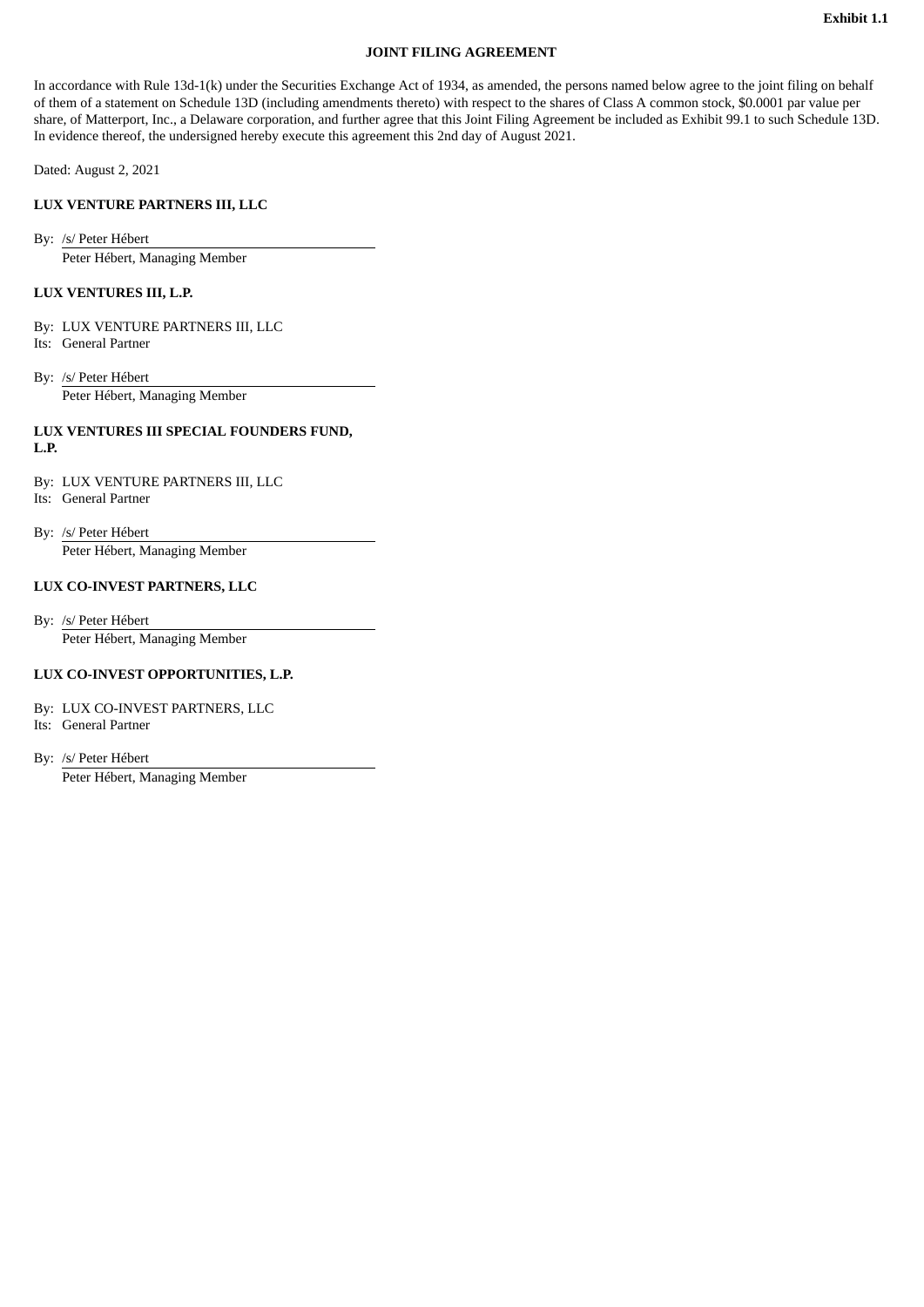#### **JOINT FILING AGREEMENT**

<span id="page-15-0"></span>In accordance with Rule 13d-1(k) under the Securities Exchange Act of 1934, as amended, the persons named below agree to the joint filing on behalf of them of a statement on Schedule 13D (including amendments thereto) with respect to the shares of Class A common stock, \$0.0001 par value per share, of Matterport, Inc., a Delaware corporation, and further agree that this Joint Filing Agreement be included as Exhibit 99.1 to such Schedule 13D. In evidence thereof, the undersigned hereby execute this agreement this 2nd day of August 2021.

Dated: August 2, 2021

### **LUX VENTURE PARTNERS III, LLC**

By: /s/ Peter Hébert Peter Hébert, Managing Member

### **LUX VENTURES III, L.P.**

- By: LUX VENTURE PARTNERS III, LLC Its: General Partner
- By: /s/ Peter Hébert Peter Hébert, Managing Member

#### **LUX VENTURES III SPECIAL FOUNDERS FUND, L.P.**

- By: LUX VENTURE PARTNERS III, LLC Its: General Partner
- By: /s/ Peter Hébert

Peter Hébert, Managing Member

# **LUX CO-INVEST PARTNERS, LLC**

By: /s/ Peter Hébert

Peter Hébert, Managing Member

#### **LUX CO-INVEST OPPORTUNITIES, L.P.**

By: LUX CO-INVEST PARTNERS, LLC

Its: General Partner

By: /s/ Peter Hébert

Peter Hébert, Managing Member